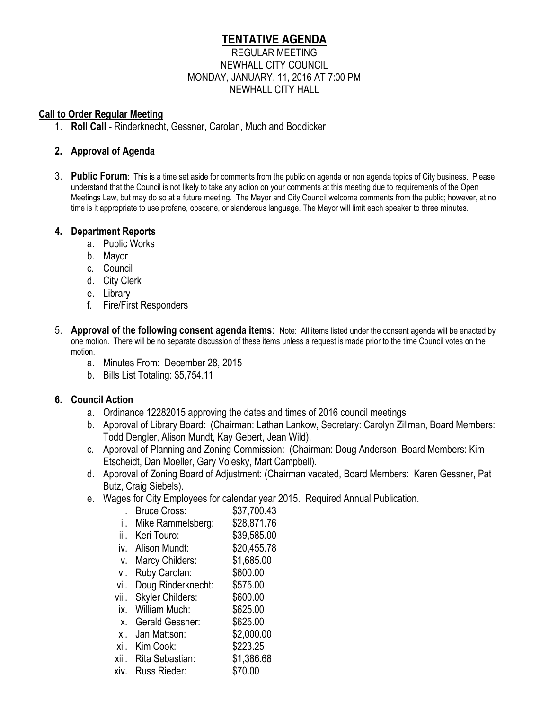# **TENTATIVE AGENDA**

#### REGULAR MEETING NEWHALL CITY COUNCIL MONDAY, JANUARY, 11, 2016 AT 7:00 PM NEWHALL CITY HALL

#### **Call to Order Regular Meeting**

1. **Roll Call** - Rinderknecht, Gessner, Carolan, Much and Boddicker

## **2. Approval of Agenda**

3. **Public Forum**: This is a time set aside for comments from the public on agenda or non agenda topics of City business. Please understand that the Council is not likely to take any action on your comments at this meeting due to requirements of the Open Meetings Law, but may do so at a future meeting. The Mayor and City Council welcome comments from the public; however, at no time is it appropriate to use profane, obscene, or slanderous language. The Mayor will limit each speaker to three minutes.

## **4. Department Reports**

- a. Public Works
- b. Mayor
- c. Council
- d. City Clerk
- e. Library
- f. Fire/First Responders
- 5. **Approval of the following consent agenda items**: Note: All items listed under the consent agenda will be enacted by one motion. There will be no separate discussion of these items unless a request is made prior to the time Council votes on the motion.
	- a. Minutes From: December 28, 2015
	- b. Bills List Totaling: \$5,754.11

## **6. Council Action**

- a. Ordinance 12282015 approving the dates and times of 2016 council meetings
- b. Approval of Library Board: (Chairman: Lathan Lankow, Secretary: Carolyn Zillman, Board Members: Todd Dengler, Alison Mundt, Kay Gebert, Jean Wild).
- c. Approval of Planning and Zoning Commission: (Chairman: Doug Anderson, Board Members: Kim Etscheidt, Dan Moeller, Gary Volesky, Mart Campbell).
- d. Approval of Zoning Board of Adjustment: (Chairman vacated, Board Members: Karen Gessner, Pat Butz, Craig Siebels).
- e. Wages for City Employees for calendar year 2015. Required Annual Publication.

| i. Bruce Cross:       | \$37,700.43       |
|-----------------------|-------------------|
| ii. Mike Rammelsberg: | \$28,871.76       |
| iii. Keri Touro:      | \$39,585.00       |
| iv Aligan Mundt       | <b>COO ALL 70</b> |

- iv. Alison Mundt: \$20,455.78
- v. Marcy Childers: \$1,685.00
- vi. Ruby Carolan: \$600.00
- vii. Doug Rinderknecht: \$575.00
- viii. Skyler Childers: \$600.00
- ix. William Much: \$625.00
- x. Gerald Gessner: \$625.00
- xi. Jan Mattson: \$2,000.00
- xii. Kim Cook: \$223.25
- xiii. Rita Sebastian: \$1,386.68
- xiv. Russ Rieder: \$70.00